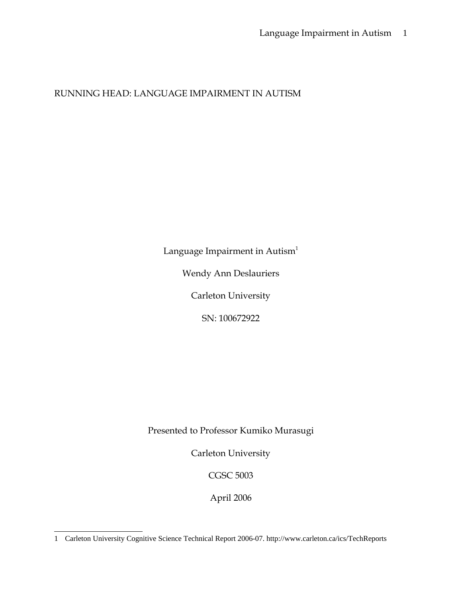# RUNNING HEAD: LANGUAGE IMPAIRMENT IN AUTISM

Language Impairment in Autism<sup>[1](#page-0-0)</sup>

Wendy Ann Deslauriers

Carleton University

SN: 100672922

Presented to Professor Kumiko Murasugi

Carleton University

CGSC 5003

April 2006

<span id="page-0-0"></span><sup>1</sup> Carleton University Cognitive Science Technical Report 2006-07. http://www.carleton.ca/ics/TechReports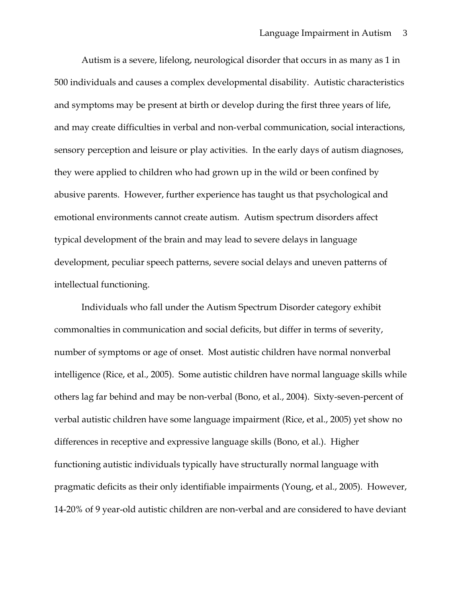Autism is a severe, lifelong, neurological disorder that occurs in as many as 1 in 500 individuals and causes a complex developmental disability. Autistic characteristics and symptoms may be present at birth or develop during the first three years of life, and may create difficulties in verbal and non-verbal communication, social interactions, sensory perception and leisure or play activities. In the early days of autism diagnoses, they were applied to children who had grown up in the wild or been confined by abusive parents. However, further experience has taught us that psychological and emotional environments cannot create autism. Autism spectrum disorders affect typical development of the brain and may lead to severe delays in language development, peculiar speech patterns, severe social delays and uneven patterns of intellectual functioning.

Individuals who fall under the Autism Spectrum Disorder category exhibit commonalties in communication and social deficits, but differ in terms of severity, number of symptoms or age of onset. Most autistic children have normal nonverbal intelligence (Rice, et al., 2005). Some autistic children have normal language skills while others lag far behind and may be non-verbal (Bono, et al., 2004). Sixty-seven-percent of verbal autistic children have some language impairment (Rice, et al., 2005) yet show no differences in receptive and expressive language skills (Bono, et al.). Higher functioning autistic individuals typically have structurally normal language with pragmatic deficits as their only identifiable impairments (Young, et al., 2005). However, 14-20% of 9 year-old autistic children are non-verbal and are considered to have deviant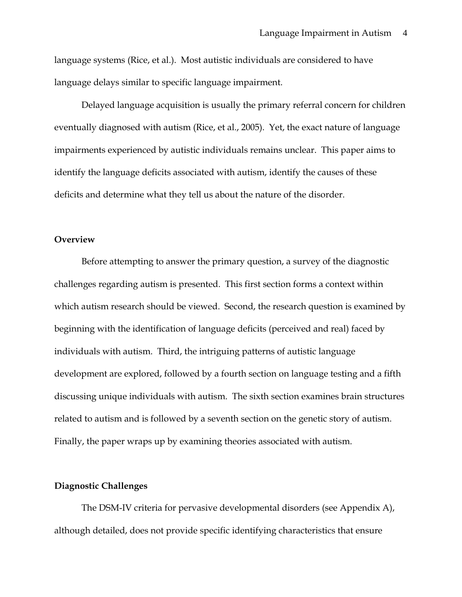language systems (Rice, et al.). Most autistic individuals are considered to have language delays similar to specific language impairment.

Delayed language acquisition is usually the primary referral concern for children eventually diagnosed with autism (Rice, et al., 2005). Yet, the exact nature of language impairments experienced by autistic individuals remains unclear. This paper aims to identify the language deficits associated with autism, identify the causes of these deficits and determine what they tell us about the nature of the disorder.

### **Overview**

Before attempting to answer the primary question, a survey of the diagnostic challenges regarding autism is presented. This first section forms a context within which autism research should be viewed. Second, the research question is examined by beginning with the identification of language deficits (perceived and real) faced by individuals with autism. Third, the intriguing patterns of autistic language development are explored, followed by a fourth section on language testing and a fifth discussing unique individuals with autism. The sixth section examines brain structures related to autism and is followed by a seventh section on the genetic story of autism. Finally, the paper wraps up by examining theories associated with autism.

#### **Diagnostic Challenges**

The DSM-IV criteria for pervasive developmental disorders (see Appendix A), although detailed, does not provide specific identifying characteristics that ensure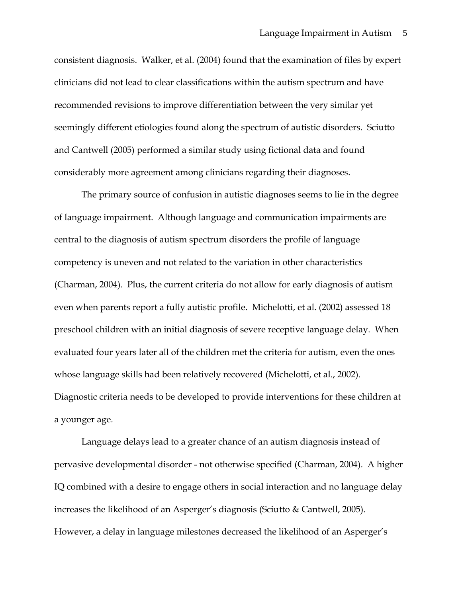consistent diagnosis. Walker, et al. (2004) found that the examination of files by expert clinicians did not lead to clear classifications within the autism spectrum and have recommended revisions to improve differentiation between the very similar yet seemingly different etiologies found along the spectrum of autistic disorders. Sciutto and Cantwell (2005) performed a similar study using fictional data and found considerably more agreement among clinicians regarding their diagnoses.

The primary source of confusion in autistic diagnoses seems to lie in the degree of language impairment. Although language and communication impairments are central to the diagnosis of autism spectrum disorders the profile of language competency is uneven and not related to the variation in other characteristics (Charman, 2004). Plus, the current criteria do not allow for early diagnosis of autism even when parents report a fully autistic profile. Michelotti, et al. (2002) assessed 18 preschool children with an initial diagnosis of severe receptive language delay. When evaluated four years later all of the children met the criteria for autism, even the ones whose language skills had been relatively recovered (Michelotti, et al., 2002). Diagnostic criteria needs to be developed to provide interventions for these children at a younger age.

Language delays lead to a greater chance of an autism diagnosis instead of pervasive developmental disorder - not otherwise specified (Charman, 2004). A higher IQ combined with a desire to engage others in social interaction and no language delay increases the likelihood of an Asperger's diagnosis (Sciutto & Cantwell, 2005). However, a delay in language milestones decreased the likelihood of an Asperger's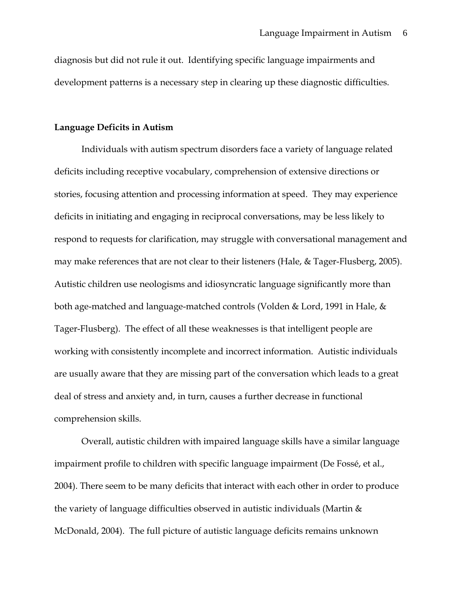diagnosis but did not rule it out. Identifying specific language impairments and development patterns is a necessary step in clearing up these diagnostic difficulties.

#### **Language Deficits in Autism**

Individuals with autism spectrum disorders face a variety of language related deficits including receptive vocabulary, comprehension of extensive directions or stories, focusing attention and processing information at speed. They may experience deficits in initiating and engaging in reciprocal conversations, may be less likely to respond to requests for clarification, may struggle with conversational management and may make references that are not clear to their listeners (Hale, & Tager-Flusberg, 2005). Autistic children use neologisms and idiosyncratic language significantly more than both age-matched and language-matched controls (Volden & Lord, 1991 in Hale, & Tager-Flusberg). The effect of all these weaknesses is that intelligent people are working with consistently incomplete and incorrect information. Autistic individuals are usually aware that they are missing part of the conversation which leads to a great deal of stress and anxiety and, in turn, causes a further decrease in functional comprehension skills.

Overall, autistic children with impaired language skills have a similar language impairment profile to children with specific language impairment (De Fossé, et al., 2004). There seem to be many deficits that interact with each other in order to produce the variety of language difficulties observed in autistic individuals (Martin & McDonald, 2004). The full picture of autistic language deficits remains unknown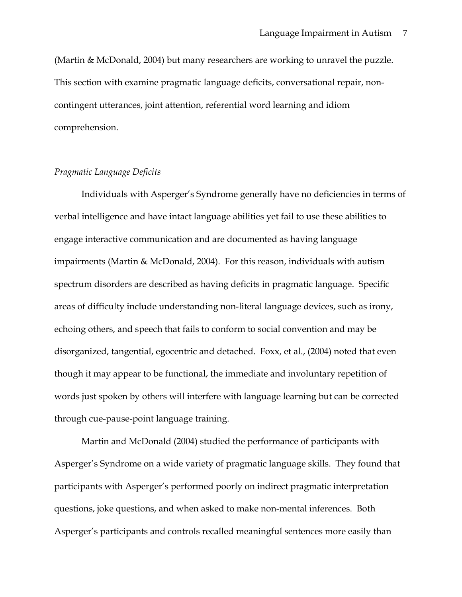(Martin & McDonald, 2004) but many researchers are working to unravel the puzzle. This section with examine pragmatic language deficits, conversational repair, noncontingent utterances, joint attention, referential word learning and idiom comprehension.

## *Pragmatic Language Deficits*

Individuals with Asperger's Syndrome generally have no deficiencies in terms of verbal intelligence and have intact language abilities yet fail to use these abilities to engage interactive communication and are documented as having language impairments (Martin & McDonald, 2004). For this reason, individuals with autism spectrum disorders are described as having deficits in pragmatic language. Specific areas of difficulty include understanding non-literal language devices, such as irony, echoing others, and speech that fails to conform to social convention and may be disorganized, tangential, egocentric and detached. Foxx, et al., (2004) noted that even though it may appear to be functional, the immediate and involuntary repetition of words just spoken by others will interfere with language learning but can be corrected through cue-pause-point language training.

Martin and McDonald (2004) studied the performance of participants with Asperger's Syndrome on a wide variety of pragmatic language skills. They found that participants with Asperger's performed poorly on indirect pragmatic interpretation questions, joke questions, and when asked to make non-mental inferences. Both Asperger's participants and controls recalled meaningful sentences more easily than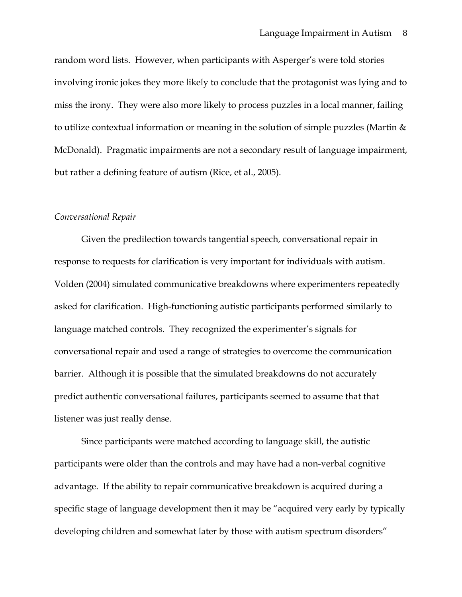random word lists. However, when participants with Asperger's were told stories involving ironic jokes they more likely to conclude that the protagonist was lying and to miss the irony. They were also more likely to process puzzles in a local manner, failing to utilize contextual information or meaning in the solution of simple puzzles (Martin & McDonald). Pragmatic impairments are not a secondary result of language impairment, but rather a defining feature of autism (Rice, et al., 2005).

#### *Conversational Repair*

Given the predilection towards tangential speech, conversational repair in response to requests for clarification is very important for individuals with autism. Volden (2004) simulated communicative breakdowns where experimenters repeatedly asked for clarification. High-functioning autistic participants performed similarly to language matched controls. They recognized the experimenter's signals for conversational repair and used a range of strategies to overcome the communication barrier. Although it is possible that the simulated breakdowns do not accurately predict authentic conversational failures, participants seemed to assume that that listener was just really dense.

Since participants were matched according to language skill, the autistic participants were older than the controls and may have had a non-verbal cognitive advantage. If the ability to repair communicative breakdown is acquired during a specific stage of language development then it may be "acquired very early by typically developing children and somewhat later by those with autism spectrum disorders"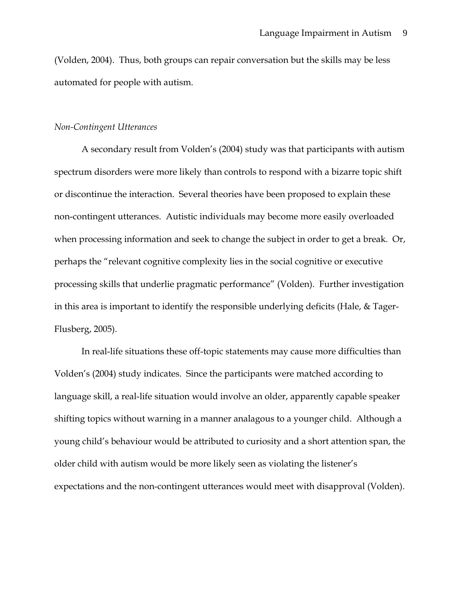(Volden, 2004). Thus, both groups can repair conversation but the skills may be less automated for people with autism.

#### *Non-Contingent Utterances*

A secondary result from Volden's (2004) study was that participants with autism spectrum disorders were more likely than controls to respond with a bizarre topic shift or discontinue the interaction. Several theories have been proposed to explain these non-contingent utterances. Autistic individuals may become more easily overloaded when processing information and seek to change the subject in order to get a break. Or, perhaps the "relevant cognitive complexity lies in the social cognitive or executive processing skills that underlie pragmatic performance" (Volden). Further investigation in this area is important to identify the responsible underlying deficits (Hale, & Tager-Flusberg, 2005).

In real-life situations these off-topic statements may cause more difficulties than Volden's (2004) study indicates. Since the participants were matched according to language skill, a real-life situation would involve an older, apparently capable speaker shifting topics without warning in a manner analagous to a younger child. Although a young child's behaviour would be attributed to curiosity and a short attention span, the older child with autism would be more likely seen as violating the listener's expectations and the non-contingent utterances would meet with disapproval (Volden).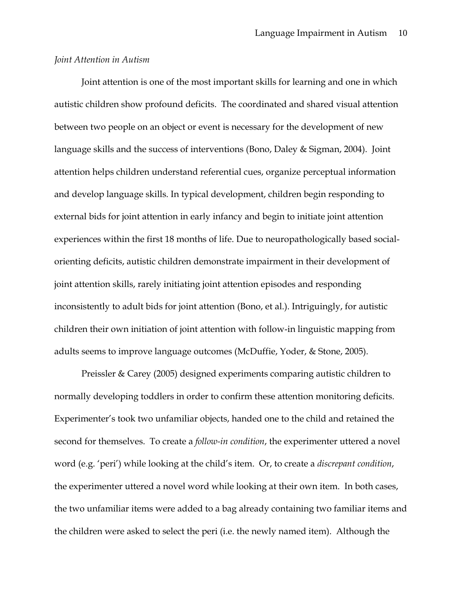### *Joint Attention in Autism*

Joint attention is one of the most important skills for learning and one in which autistic children show profound deficits. The coordinated and shared visual attention between two people on an object or event is necessary for the development of new language skills and the success of interventions (Bono, Daley & Sigman, 2004). Joint attention helps children understand referential cues, organize perceptual information and develop language skills. In typical development, children begin responding to external bids for joint attention in early infancy and begin to initiate joint attention experiences within the first 18 months of life. Due to neuropathologically based socialorienting deficits, autistic children demonstrate impairment in their development of joint attention skills, rarely initiating joint attention episodes and responding inconsistently to adult bids for joint attention (Bono, et al.). Intriguingly, for autistic children their own initiation of joint attention with follow-in linguistic mapping from adults seems to improve language outcomes (McDuffie, Yoder, & Stone, 2005).

Preissler & Carey (2005) designed experiments comparing autistic children to normally developing toddlers in order to confirm these attention monitoring deficits. Experimenter's took two unfamiliar objects, handed one to the child and retained the second for themselves. To create a *follow-in condition*, the experimenter uttered a novel word (e.g. 'peri') while looking at the child's item. Or, to create a *discrepant condition*, the experimenter uttered a novel word while looking at their own item. In both cases, the two unfamiliar items were added to a bag already containing two familiar items and the children were asked to select the peri (i.e. the newly named item). Although the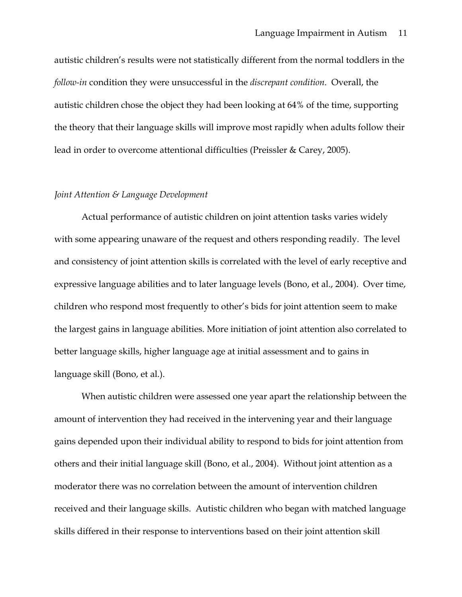autistic children's results were not statistically different from the normal toddlers in the *follow-in* condition they were unsuccessful in the *discrepant condition*. Overall, the autistic children chose the object they had been looking at 64% of the time, supporting the theory that their language skills will improve most rapidly when adults follow their lead in order to overcome attentional difficulties (Preissler & Carey, 2005).

### *Joint Attention & Language Development*

Actual performance of autistic children on joint attention tasks varies widely with some appearing unaware of the request and others responding readily. The level and consistency of joint attention skills is correlated with the level of early receptive and expressive language abilities and to later language levels (Bono, et al., 2004). Over time, children who respond most frequently to other's bids for joint attention seem to make the largest gains in language abilities. More initiation of joint attention also correlated to better language skills, higher language age at initial assessment and to gains in language skill (Bono, et al.).

When autistic children were assessed one year apart the relationship between the amount of intervention they had received in the intervening year and their language gains depended upon their individual ability to respond to bids for joint attention from others and their initial language skill (Bono, et al., 2004). Without joint attention as a moderator there was no correlation between the amount of intervention children received and their language skills. Autistic children who began with matched language skills differed in their response to interventions based on their joint attention skill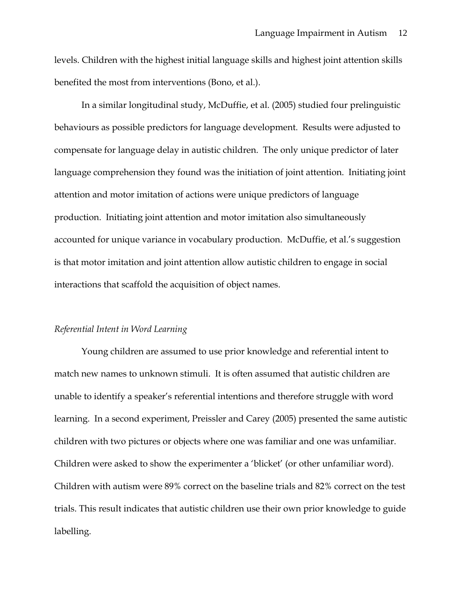levels. Children with the highest initial language skills and highest joint attention skills benefited the most from interventions (Bono, et al.).

In a similar longitudinal study, McDuffie, et al. (2005) studied four prelinguistic behaviours as possible predictors for language development. Results were adjusted to compensate for language delay in autistic children. The only unique predictor of later language comprehension they found was the initiation of joint attention. Initiating joint attention and motor imitation of actions were unique predictors of language production. Initiating joint attention and motor imitation also simultaneously accounted for unique variance in vocabulary production. McDuffie, et al.'s suggestion is that motor imitation and joint attention allow autistic children to engage in social interactions that scaffold the acquisition of object names.

## *Referential Intent in Word Learning*

Young children are assumed to use prior knowledge and referential intent to match new names to unknown stimuli. It is often assumed that autistic children are unable to identify a speaker's referential intentions and therefore struggle with word learning. In a second experiment, Preissler and Carey (2005) presented the same autistic children with two pictures or objects where one was familiar and one was unfamiliar. Children were asked to show the experimenter a 'blicket' (or other unfamiliar word). Children with autism were 89% correct on the baseline trials and 82% correct on the test trials. This result indicates that autistic children use their own prior knowledge to guide labelling.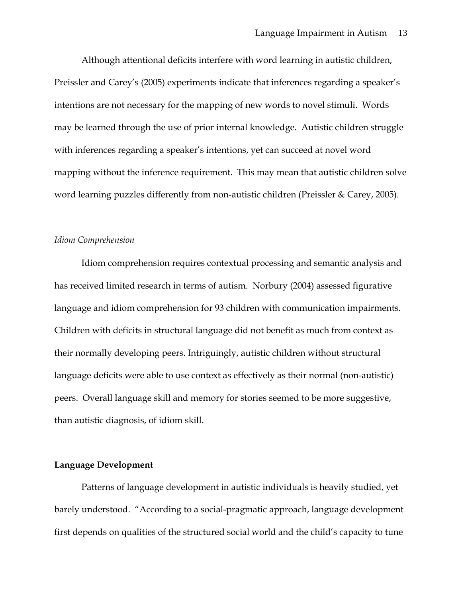Although attentional deficits interfere with word learning in autistic children, Preissler and Carey's (2005) experiments indicate that inferences regarding a speaker's intentions are not necessary for the mapping of new words to novel stimuli. Words may be learned through the use of prior internal knowledge. Autistic children struggle with inferences regarding a speaker's intentions, yet can succeed at novel word mapping without the inference requirement. This may mean that autistic children solve word learning puzzles differently from non-autistic children (Preissler & Carey, 2005).

#### *Idiom Comprehension*

Idiom comprehension requires contextual processing and semantic analysis and has received limited research in terms of autism. Norbury (2004) assessed figurative language and idiom comprehension for 93 children with communication impairments. Children with deficits in structural language did not benefit as much from context as their normally developing peers. Intriguingly, autistic children without structural language deficits were able to use context as effectively as their normal (non-autistic) peers. Overall language skill and memory for stories seemed to be more suggestive, than autistic diagnosis, of idiom skill.

### **Language Development**

Patterns of language development in autistic individuals is heavily studied, yet barely understood. "According to a social-pragmatic approach, language development first depends on qualities of the structured social world and the child's capacity to tune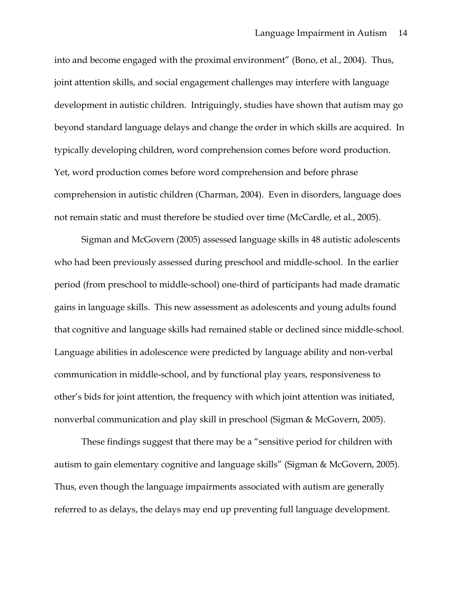into and become engaged with the proximal environment" (Bono, et al., 2004). Thus, joint attention skills, and social engagement challenges may interfere with language development in autistic children. Intriguingly, studies have shown that autism may go beyond standard language delays and change the order in which skills are acquired. In typically developing children, word comprehension comes before word production. Yet, word production comes before word comprehension and before phrase comprehension in autistic children (Charman, 2004). Even in disorders, language does not remain static and must therefore be studied over time (McCardle, et al., 2005).

Sigman and McGovern (2005) assessed language skills in 48 autistic adolescents who had been previously assessed during preschool and middle-school. In the earlier period (from preschool to middle-school) one-third of participants had made dramatic gains in language skills. This new assessment as adolescents and young adults found that cognitive and language skills had remained stable or declined since middle-school. Language abilities in adolescence were predicted by language ability and non-verbal communication in middle-school, and by functional play years, responsiveness to other's bids for joint attention, the frequency with which joint attention was initiated, nonverbal communication and play skill in preschool (Sigman & McGovern, 2005).

These findings suggest that there may be a "sensitive period for children with autism to gain elementary cognitive and language skills" (Sigman & McGovern, 2005). Thus, even though the language impairments associated with autism are generally referred to as delays, the delays may end up preventing full language development.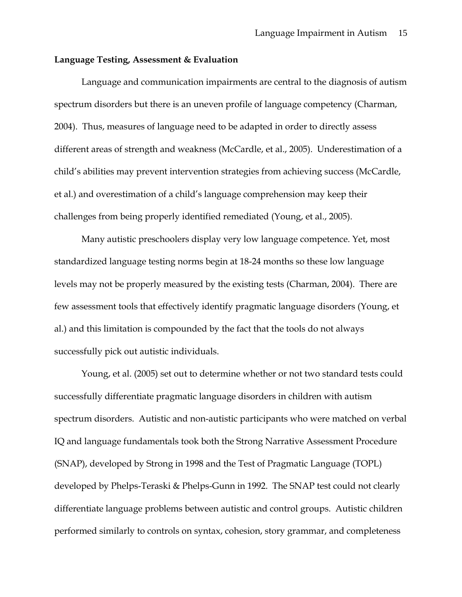### **Language Testing, Assessment & Evaluation**

Language and communication impairments are central to the diagnosis of autism spectrum disorders but there is an uneven profile of language competency (Charman, 2004). Thus, measures of language need to be adapted in order to directly assess different areas of strength and weakness (McCardle, et al., 2005). Underestimation of a child's abilities may prevent intervention strategies from achieving success (McCardle, et al.) and overestimation of a child's language comprehension may keep their challenges from being properly identified remediated (Young, et al., 2005).

Many autistic preschoolers display very low language competence. Yet, most standardized language testing norms begin at 18-24 months so these low language levels may not be properly measured by the existing tests (Charman, 2004). There are few assessment tools that effectively identify pragmatic language disorders (Young, et al.) and this limitation is compounded by the fact that the tools do not always successfully pick out autistic individuals.

Young, et al. (2005) set out to determine whether or not two standard tests could successfully differentiate pragmatic language disorders in children with autism spectrum disorders. Autistic and non-autistic participants who were matched on verbal IQ and language fundamentals took both the Strong Narrative Assessment Procedure (SNAP), developed by Strong in 1998 and the Test of Pragmatic Language (TOPL) developed by Phelps-Teraski & Phelps-Gunn in 1992. The SNAP test could not clearly differentiate language problems between autistic and control groups. Autistic children performed similarly to controls on syntax, cohesion, story grammar, and completeness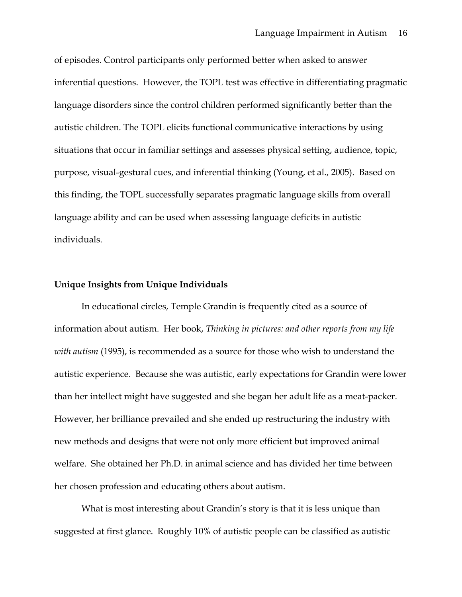of episodes. Control participants only performed better when asked to answer inferential questions. However, the TOPL test was effective in differentiating pragmatic language disorders since the control children performed significantly better than the autistic children. The TOPL elicits functional communicative interactions by using situations that occur in familiar settings and assesses physical setting, audience, topic, purpose, visual-gestural cues, and inferential thinking (Young, et al., 2005). Based on this finding, the TOPL successfully separates pragmatic language skills from overall language ability and can be used when assessing language deficits in autistic individuals.

#### **Unique Insights from Unique Individuals**

In educational circles, Temple Grandin is frequently cited as a source of information about autism. Her book, *Thinking in pictures: and other reports from my life with autism* (1995), is recommended as a source for those who wish to understand the autistic experience. Because she was autistic, early expectations for Grandin were lower than her intellect might have suggested and she began her adult life as a meat-packer. However, her brilliance prevailed and she ended up restructuring the industry with new methods and designs that were not only more efficient but improved animal welfare. She obtained her Ph.D. in animal science and has divided her time between her chosen profession and educating others about autism.

What is most interesting about Grandin's story is that it is less unique than suggested at first glance. Roughly 10% of autistic people can be classified as autistic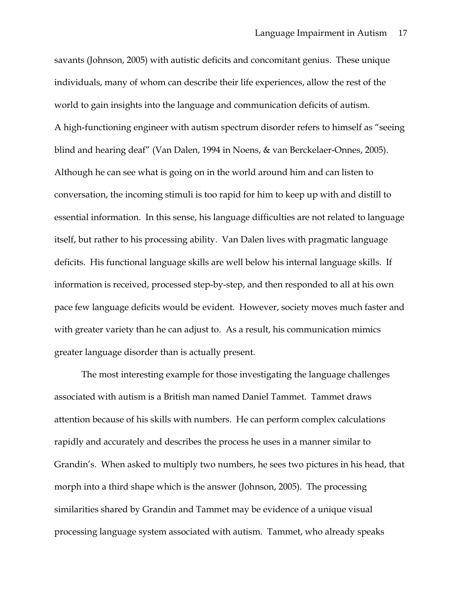savants (Johnson, 2005) with autistic deficits and concomitant genius. These unique individuals, many of whom can describe their life experiences, allow the rest of the world to gain insights into the language and communication deficits of autism. A high-functioning engineer with autism spectrum disorder refers to himself as "seeing blind and hearing deaf" (Van Dalen, 1994 in Noens, & van Berckelaer-Onnes, 2005). Although he can see what is going on in the world around him and can listen to conversation, the incoming stimuli is too rapid for him to keep up with and distill to essential information. In this sense, his language difficulties are not related to language itself, but rather to his processing ability. Van Dalen lives with pragmatic language deficits. His functional language skills are well below his internal language skills. If information is received, processed step-by-step, and then responded to all at his own pace few language deficits would be evident. However, society moves much faster and with greater variety than he can adjust to. As a result, his communication mimics greater language disorder than is actually present.

The most interesting example for those investigating the language challenges associated with autism is a British man named Daniel Tammet. Tammet draws attention because of his skills with numbers. He can perform complex calculations rapidly and accurately and describes the process he uses in a manner similar to Grandin's. When asked to multiply two numbers, he sees two pictures in his head, that morph into a third shape which is the answer (Johnson, 2005). The processing similarities shared by Grandin and Tammet may be evidence of a unique visual processing language system associated with autism. Tammet, who already speaks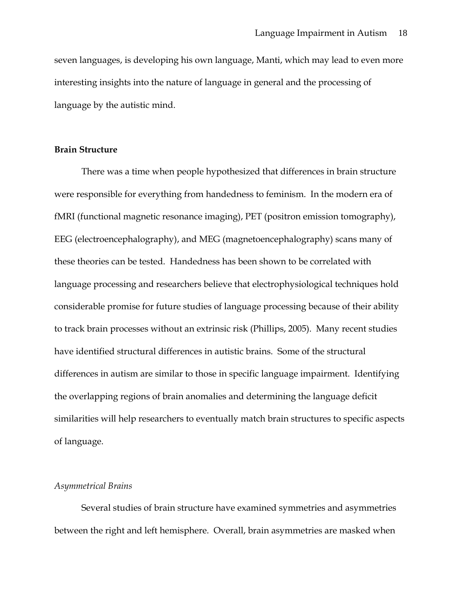seven languages, is developing his own language, Manti, which may lead to even more interesting insights into the nature of language in general and the processing of language by the autistic mind.

# **Brain Structure**

There was a time when people hypothesized that differences in brain structure were responsible for everything from handedness to feminism. In the modern era of fMRI (functional magnetic resonance imaging), PET (positron emission tomography), EEG (electroencephalography), and MEG (magnetoencephalography) scans many of these theories can be tested. Handedness has been shown to be correlated with language processing and researchers believe that electrophysiological techniques hold considerable promise for future studies of language processing because of their ability to track brain processes without an extrinsic risk (Phillips, 2005). Many recent studies have identified structural differences in autistic brains. Some of the structural differences in autism are similar to those in specific language impairment. Identifying the overlapping regions of brain anomalies and determining the language deficit similarities will help researchers to eventually match brain structures to specific aspects of language.

### *Asymmetrical Brains*

Several studies of brain structure have examined symmetries and asymmetries between the right and left hemisphere. Overall, brain asymmetries are masked when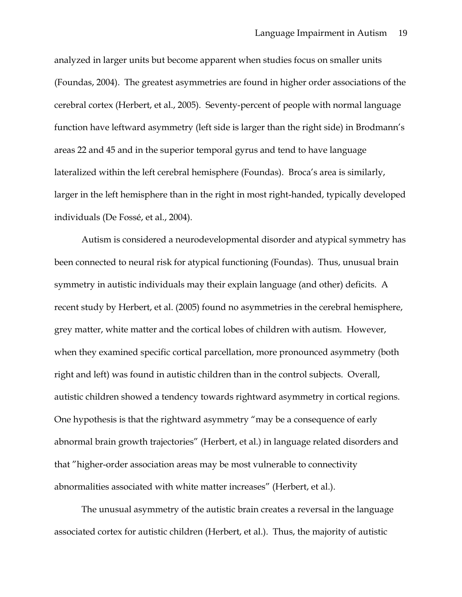analyzed in larger units but become apparent when studies focus on smaller units (Foundas, 2004). The greatest asymmetries are found in higher order associations of the cerebral cortex (Herbert, et al., 2005). Seventy-percent of people with normal language function have leftward asymmetry (left side is larger than the right side) in Brodmann's areas 22 and 45 and in the superior temporal gyrus and tend to have language lateralized within the left cerebral hemisphere (Foundas). Broca's area is similarly, larger in the left hemisphere than in the right in most right-handed, typically developed individuals (De Fossé, et al., 2004).

Autism is considered a neurodevelopmental disorder and atypical symmetry has been connected to neural risk for atypical functioning (Foundas). Thus, unusual brain symmetry in autistic individuals may their explain language (and other) deficits. A recent study by Herbert, et al. (2005) found no asymmetries in the cerebral hemisphere, grey matter, white matter and the cortical lobes of children with autism. However, when they examined specific cortical parcellation, more pronounced asymmetry (both right and left) was found in autistic children than in the control subjects. Overall, autistic children showed a tendency towards rightward asymmetry in cortical regions. One hypothesis is that the rightward asymmetry "may be a consequence of early abnormal brain growth trajectories" (Herbert, et al.) in language related disorders and that "higher-order association areas may be most vulnerable to connectivity abnormalities associated with white matter increases" (Herbert, et al.).

The unusual asymmetry of the autistic brain creates a reversal in the language associated cortex for autistic children (Herbert, et al.). Thus, the majority of autistic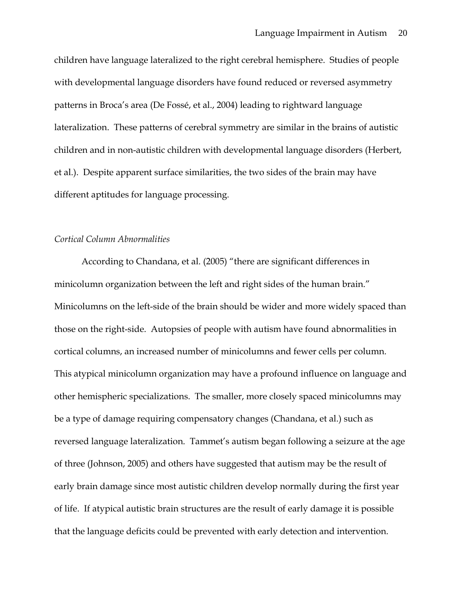children have language lateralized to the right cerebral hemisphere. Studies of people with developmental language disorders have found reduced or reversed asymmetry patterns in Broca's area (De Fossé, et al., 2004) leading to rightward language lateralization. These patterns of cerebral symmetry are similar in the brains of autistic children and in non-autistic children with developmental language disorders (Herbert, et al.). Despite apparent surface similarities, the two sides of the brain may have different aptitudes for language processing.

#### *Cortical Column Abnormalities*

According to Chandana, et al. (2005) "there are significant differences in minicolumn organization between the left and right sides of the human brain." Minicolumns on the left-side of the brain should be wider and more widely spaced than those on the right-side. Autopsies of people with autism have found abnormalities in cortical columns, an increased number of minicolumns and fewer cells per column. This atypical minicolumn organization may have a profound influence on language and other hemispheric specializations. The smaller, more closely spaced minicolumns may be a type of damage requiring compensatory changes (Chandana, et al.) such as reversed language lateralization. Tammet's autism began following a seizure at the age of three (Johnson, 2005) and others have suggested that autism may be the result of early brain damage since most autistic children develop normally during the first year of life. If atypical autistic brain structures are the result of early damage it is possible that the language deficits could be prevented with early detection and intervention.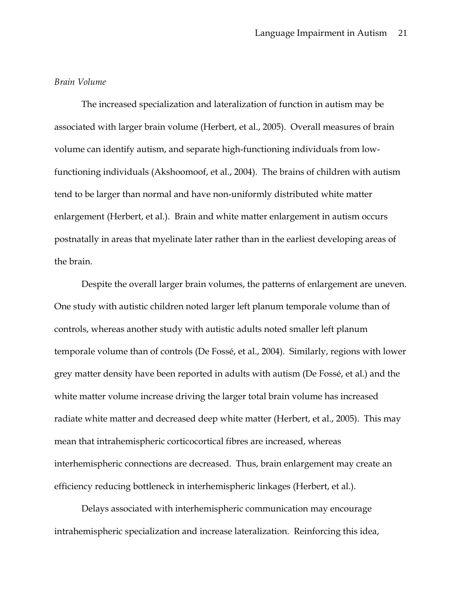### *Brain Volume*

The increased specialization and lateralization of function in autism may be associated with larger brain volume (Herbert, et al., 2005). Overall measures of brain volume can identify autism, and separate high-functioning individuals from lowfunctioning individuals (Akshoomoof, et al., 2004). The brains of children with autism tend to be larger than normal and have non-uniformly distributed white matter enlargement (Herbert, et al.). Brain and white matter enlargement in autism occurs postnatally in areas that myelinate later rather than in the earliest developing areas of the brain.

Despite the overall larger brain volumes, the patterns of enlargement are uneven. One study with autistic children noted larger left planum temporale volume than of controls, whereas another study with autistic adults noted smaller left planum temporale volume than of controls (De Fossé, et al., 2004). Similarly, regions with lower grey matter density have been reported in adults with autism (De Fossé, et al.) and the white matter volume increase driving the larger total brain volume has increased radiate white matter and decreased deep white matter (Herbert, et al., 2005). This may mean that intrahemispheric corticocortical fibres are increased, whereas interhemispheric connections are decreased. Thus, brain enlargement may create an efficiency reducing bottleneck in interhemispheric linkages (Herbert, et al.).

Delays associated with interhemispheric communication may encourage intrahemispheric specialization and increase lateralization. Reinforcing this idea,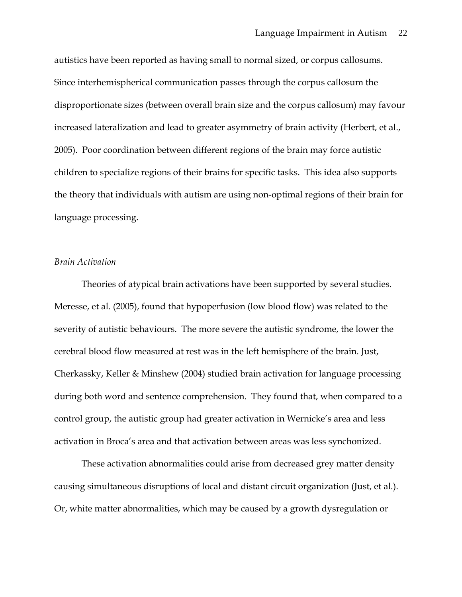autistics have been reported as having small to normal sized, or corpus callosums. Since interhemispherical communication passes through the corpus callosum the disproportionate sizes (between overall brain size and the corpus callosum) may favour increased lateralization and lead to greater asymmetry of brain activity (Herbert, et al., 2005). Poor coordination between different regions of the brain may force autistic children to specialize regions of their brains for specific tasks. This idea also supports the theory that individuals with autism are using non-optimal regions of their brain for language processing.

#### *Brain Activation*

Theories of atypical brain activations have been supported by several studies. Meresse, et al. (2005), found that hypoperfusion (low blood flow) was related to the severity of autistic behaviours. The more severe the autistic syndrome, the lower the cerebral blood flow measured at rest was in the left hemisphere of the brain. Just, Cherkassky, Keller & Minshew (2004) studied brain activation for language processing during both word and sentence comprehension. They found that, when compared to a control group, the autistic group had greater activation in Wernicke's area and less activation in Broca's area and that activation between areas was less synchonized.

These activation abnormalities could arise from decreased grey matter density causing simultaneous disruptions of local and distant circuit organization (Just, et al.). Or, white matter abnormalities, which may be caused by a growth dysregulation or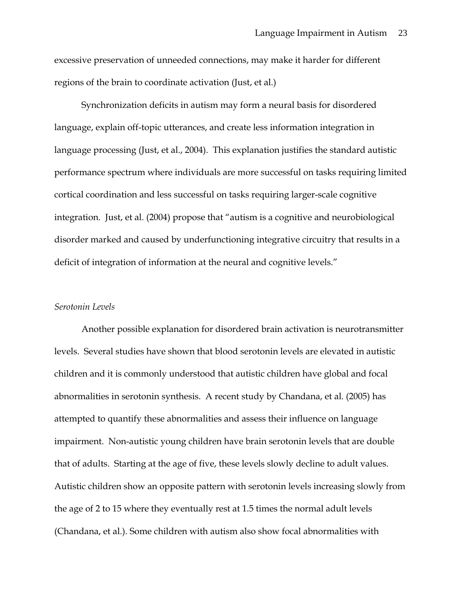excessive preservation of unneeded connections, may make it harder for different regions of the brain to coordinate activation (Just, et al.)

Synchronization deficits in autism may form a neural basis for disordered language, explain off-topic utterances, and create less information integration in language processing (Just, et al., 2004). This explanation justifies the standard autistic performance spectrum where individuals are more successful on tasks requiring limited cortical coordination and less successful on tasks requiring larger-scale cognitive integration. Just, et al. (2004) propose that "autism is a cognitive and neurobiological disorder marked and caused by underfunctioning integrative circuitry that results in a deficit of integration of information at the neural and cognitive levels."

### *Serotonin Levels*

Another possible explanation for disordered brain activation is neurotransmitter levels. Several studies have shown that blood serotonin levels are elevated in autistic children and it is commonly understood that autistic children have global and focal abnormalities in serotonin synthesis. A recent study by Chandana, et al. (2005) has attempted to quantify these abnormalities and assess their influence on language impairment. Non-autistic young children have brain serotonin levels that are double that of adults. Starting at the age of five, these levels slowly decline to adult values. Autistic children show an opposite pattern with serotonin levels increasing slowly from the age of 2 to 15 where they eventually rest at 1.5 times the normal adult levels (Chandana, et al.). Some children with autism also show focal abnormalities with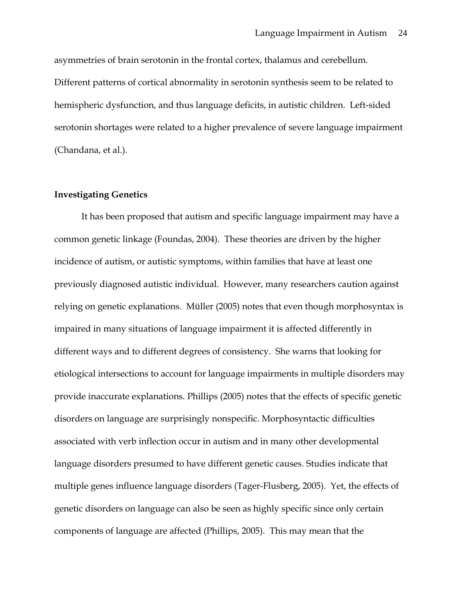asymmetries of brain serotonin in the frontal cortex, thalamus and cerebellum. Different patterns of cortical abnormality in serotonin synthesis seem to be related to hemispheric dysfunction, and thus language deficits, in autistic children. Left-sided serotonin shortages were related to a higher prevalence of severe language impairment (Chandana, et al.).

### **Investigating Genetics**

It has been proposed that autism and specific language impairment may have a common genetic linkage (Foundas, 2004). These theories are driven by the higher incidence of autism, or autistic symptoms, within families that have at least one previously diagnosed autistic individual. However, many researchers caution against relying on genetic explanations. Müller (2005) notes that even though morphosyntax is impaired in many situations of language impairment it is affected differently in different ways and to different degrees of consistency. She warns that looking for etiological intersections to account for language impairments in multiple disorders may provide inaccurate explanations. Phillips (2005) notes that the effects of specific genetic disorders on language are surprisingly nonspecific. Morphosyntactic difficulties associated with verb inflection occur in autism and in many other developmental language disorders presumed to have different genetic causes. Studies indicate that multiple genes influence language disorders (Tager-Flusberg, 2005). Yet, the effects of genetic disorders on language can also be seen as highly specific since only certain components of language are affected (Phillips, 2005). This may mean that the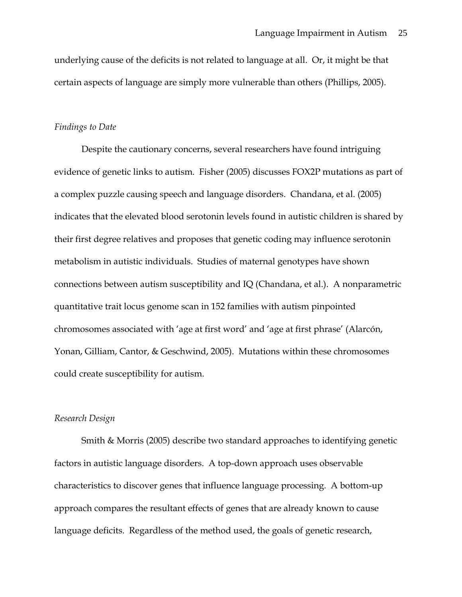underlying cause of the deficits is not related to language at all. Or, it might be that certain aspects of language are simply more vulnerable than others (Phillips, 2005).

#### *Findings to Date*

Despite the cautionary concerns, several researchers have found intriguing evidence of genetic links to autism. Fisher (2005) discusses FOX2P mutations as part of a complex puzzle causing speech and language disorders. Chandana, et al. (2005) indicates that the elevated blood serotonin levels found in autistic children is shared by their first degree relatives and proposes that genetic coding may influence serotonin metabolism in autistic individuals. Studies of maternal genotypes have shown connections between autism susceptibility and IQ (Chandana, et al.). A nonparametric quantitative trait locus genome scan in 152 families with autism pinpointed chromosomes associated with 'age at first word' and 'age at first phrase' (Alarcón, Yonan, Gilliam, Cantor, & Geschwind, 2005). Mutations within these chromosomes could create susceptibility for autism.

### *Research Design*

Smith & Morris (2005) describe two standard approaches to identifying genetic factors in autistic language disorders. A top-down approach uses observable characteristics to discover genes that influence language processing. A bottom-up approach compares the resultant effects of genes that are already known to cause language deficits. Regardless of the method used, the goals of genetic research,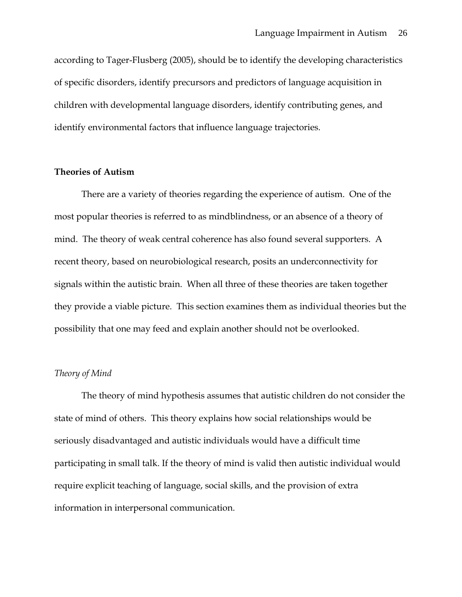according to Tager-Flusberg (2005), should be to identify the developing characteristics of specific disorders, identify precursors and predictors of language acquisition in children with developmental language disorders, identify contributing genes, and identify environmental factors that influence language trajectories.

# **Theories of Autism**

There are a variety of theories regarding the experience of autism. One of the most popular theories is referred to as mindblindness, or an absence of a theory of mind. The theory of weak central coherence has also found several supporters. A recent theory, based on neurobiological research, posits an underconnectivity for signals within the autistic brain. When all three of these theories are taken together they provide a viable picture. This section examines them as individual theories but the possibility that one may feed and explain another should not be overlooked.

### *Theory of Mind*

The theory of mind hypothesis assumes that autistic children do not consider the state of mind of others. This theory explains how social relationships would be seriously disadvantaged and autistic individuals would have a difficult time participating in small talk. If the theory of mind is valid then autistic individual would require explicit teaching of language, social skills, and the provision of extra information in interpersonal communication.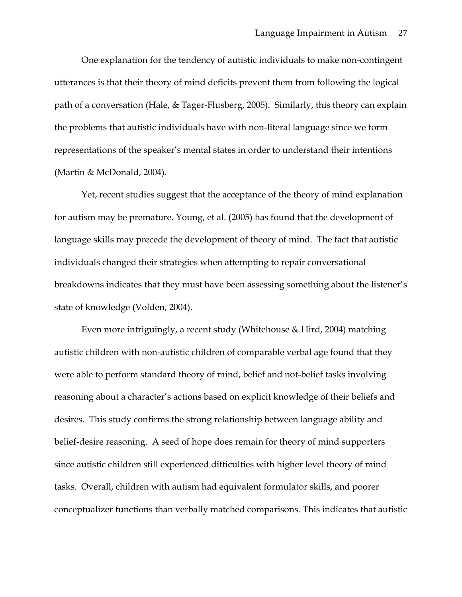One explanation for the tendency of autistic individuals to make non-contingent utterances is that their theory of mind deficits prevent them from following the logical path of a conversation (Hale, & Tager-Flusberg, 2005). Similarly, this theory can explain the problems that autistic individuals have with non-literal language since we form representations of the speaker's mental states in order to understand their intentions (Martin & McDonald, 2004).

Yet, recent studies suggest that the acceptance of the theory of mind explanation for autism may be premature. Young, et al. (2005) has found that the development of language skills may precede the development of theory of mind. The fact that autistic individuals changed their strategies when attempting to repair conversational breakdowns indicates that they must have been assessing something about the listener's state of knowledge (Volden, 2004).

Even more intriguingly, a recent study (Whitehouse & Hird, 2004) matching autistic children with non-autistic children of comparable verbal age found that they were able to perform standard theory of mind, belief and not-belief tasks involving reasoning about a character's actions based on explicit knowledge of their beliefs and desires. This study confirms the strong relationship between language ability and belief-desire reasoning. A seed of hope does remain for theory of mind supporters since autistic children still experienced difficulties with higher level theory of mind tasks. Overall, children with autism had equivalent formulator skills, and poorer conceptualizer functions than verbally matched comparisons. This indicates that autistic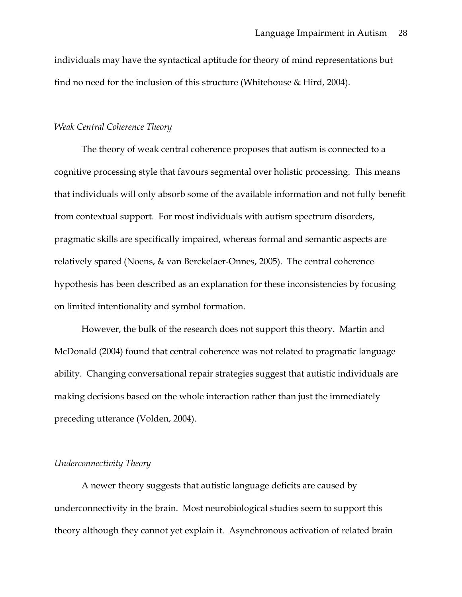individuals may have the syntactical aptitude for theory of mind representations but find no need for the inclusion of this structure (Whitehouse & Hird, 2004).

#### *Weak Central Coherence Theory*

The theory of weak central coherence proposes that autism is connected to a cognitive processing style that favours segmental over holistic processing. This means that individuals will only absorb some of the available information and not fully benefit from contextual support. For most individuals with autism spectrum disorders, pragmatic skills are specifically impaired, whereas formal and semantic aspects are relatively spared (Noens, & van Berckelaer-Onnes, 2005). The central coherence hypothesis has been described as an explanation for these inconsistencies by focusing on limited intentionality and symbol formation.

However, the bulk of the research does not support this theory. Martin and McDonald (2004) found that central coherence was not related to pragmatic language ability. Changing conversational repair strategies suggest that autistic individuals are making decisions based on the whole interaction rather than just the immediately preceding utterance (Volden, 2004).

#### *Underconnectivity Theory*

A newer theory suggests that autistic language deficits are caused by underconnectivity in the brain. Most neurobiological studies seem to support this theory although they cannot yet explain it. Asynchronous activation of related brain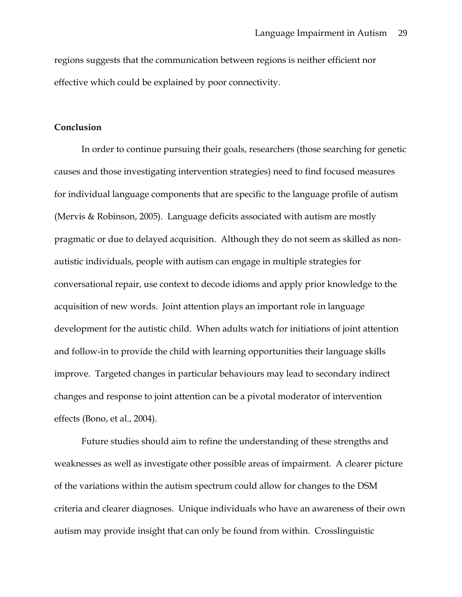regions suggests that the communication between regions is neither efficient nor effective which could be explained by poor connectivity.

#### **Conclusion**

In order to continue pursuing their goals, researchers (those searching for genetic causes and those investigating intervention strategies) need to find focused measures for individual language components that are specific to the language profile of autism (Mervis & Robinson, 2005). Language deficits associated with autism are mostly pragmatic or due to delayed acquisition. Although they do not seem as skilled as nonautistic individuals, people with autism can engage in multiple strategies for conversational repair, use context to decode idioms and apply prior knowledge to the acquisition of new words. Joint attention plays an important role in language development for the autistic child. When adults watch for initiations of joint attention and follow-in to provide the child with learning opportunities their language skills improve. Targeted changes in particular behaviours may lead to secondary indirect changes and response to joint attention can be a pivotal moderator of intervention effects (Bono, et al., 2004).

Future studies should aim to refine the understanding of these strengths and weaknesses as well as investigate other possible areas of impairment. A clearer picture of the variations within the autism spectrum could allow for changes to the DSM criteria and clearer diagnoses. Unique individuals who have an awareness of their own autism may provide insight that can only be found from within. Crosslinguistic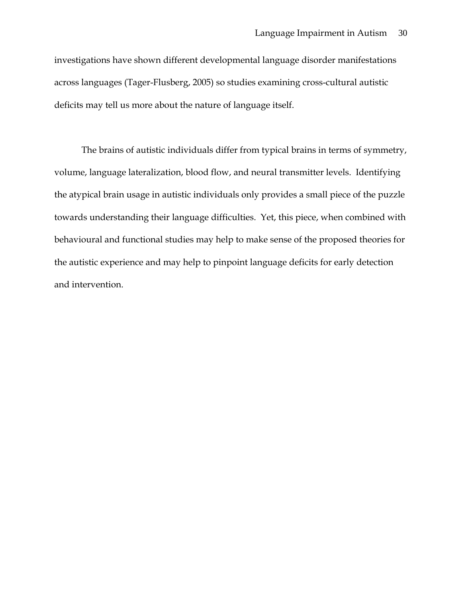investigations have shown different developmental language disorder manifestations across languages (Tager-Flusberg, 2005) so studies examining cross-cultural autistic deficits may tell us more about the nature of language itself.

The brains of autistic individuals differ from typical brains in terms of symmetry, volume, language lateralization, blood flow, and neural transmitter levels. Identifying the atypical brain usage in autistic individuals only provides a small piece of the puzzle towards understanding their language difficulties. Yet, this piece, when combined with behavioural and functional studies may help to make sense of the proposed theories for the autistic experience and may help to pinpoint language deficits for early detection and intervention.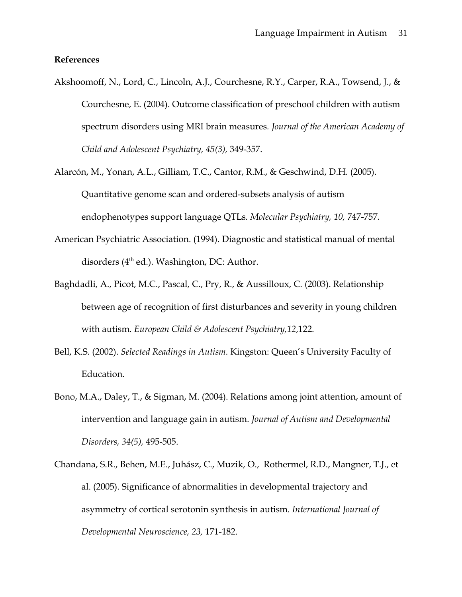## **References**

- Akshoomoff, N., Lord, C., Lincoln, A.J., Courchesne, R.Y., Carper, R.A., Towsend, J., & Courchesne, E. (2004). Outcome classification of preschool children with autism spectrum disorders using MRI brain measures*. Journal of the American Academy of Child and Adolescent Psychiatry, 45(3),* 349-357.
- Alarcón, M., Yonan, A.L., Gilliam, T.C., Cantor, R.M., & Geschwind, D.H. (2005). Quantitative genome scan and ordered-subsets analysis of autism endophenotypes support language QTLs*. Molecular Psychiatry, 10,* 747-757.
- American Psychiatric Association. (1994). Diagnostic and statistical manual of mental disorders (4<sup>th</sup> ed.). Washington, DC: Author.
- Baghdadli, A., Picot, M.C., Pascal, C., Pry, R., & Aussilloux, C. (2003). Relationship between age of recognition of first disturbances and severity in young children with autism. *European Child & Adolescent Psychiatry,12*,122.
- Bell, K.S. (2002). *Selected Readings in Autism.* Kingston: Queen's University Faculty of Education.
- Bono, M.A., Daley, T., & Sigman, M. (2004). Relations among joint attention, amount of intervention and language gain in autism. *Journal of Autism and Developmental Disorders, 34(5),* 495-505.
- Chandana, S.R., Behen, M.E., Juhász, C., Muzik, O., Rothermel, R.D., Mangner, T.J., et al. (2005). Significance of abnormalities in developmental trajectory and asymmetry of cortical serotonin synthesis in autism. *International Journal of Developmental Neuroscience, 23,* 171-182.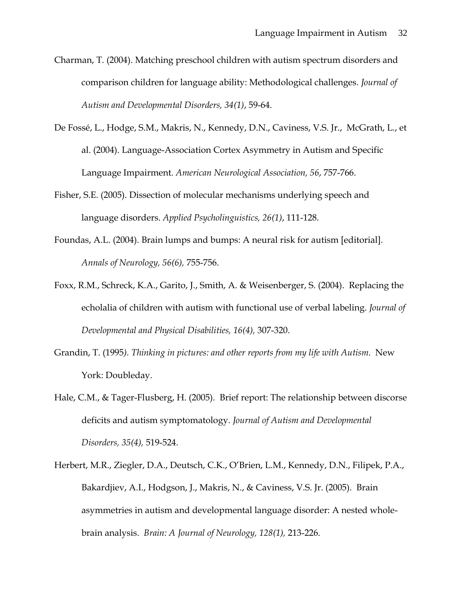- Charman, T. (2004). Matching preschool children with autism spectrum disorders and comparison children for language ability: Methodological challenges. *Journal of Autism and Developmental Disorders, 34(1)*, 59-64.
- De Fossé, L., Hodge, S.M., Makris, N., Kennedy, D.N., Caviness, V.S. Jr., McGrath, L., et al. (2004). Language-Association Cortex Asymmetry in Autism and Specific Language Impairment. *American Neurological Association, 56*, 757-766.
- Fisher, S.E. (2005). Dissection of molecular mechanisms underlying speech and language disorders. *Applied Psycholinguistics, 26(1)*, 111-128.
- Foundas, A.L. (2004). Brain lumps and bumps: A neural risk for autism [editorial]. *Annals of Neurology, 56(6),* 755-756.
- Foxx, R.M., Schreck, K.A., Garito, J., Smith, A. & Weisenberger, S. (2004). Replacing the echolalia of children with autism with functional use of verbal labeling. *Journal of Developmental and Physical Disabilities, 16(4),* 307-320.
- Grandin, T. (1995*). Thinking in pictures: and other reports from my life with Autism*. New York: Doubleday.
- Hale, C.M., & Tager-Flusberg, H. (2005). Brief report: The relationship between discorse deficits and autism symptomatology. *Journal of Autism and Developmental Disorders, 35(4),* 519-524.
- Herbert, M.R., Ziegler, D.A., Deutsch, C.K., O'Brien, L.M., Kennedy, D.N., Filipek, P.A., Bakardjiev, A.I., Hodgson, J., Makris, N., & Caviness, V.S. Jr. (2005). Brain asymmetries in autism and developmental language disorder: A nested wholebrain analysis. *Brain: A Journal of Neurology, 128(1),* 213-226.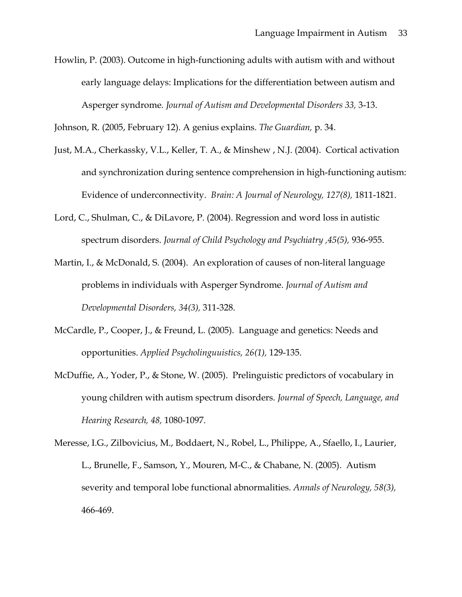Howlin, P. (2003). Outcome in high-functioning adults with autism with and without early language delays: Implications for the differentiation between autism and Asperger syndrome*. Journal of Autism and Developmental Disorders 33,* 3-13.

Johnson, R. (2005, February 12). A genius explains. *The Guardian,* p. 34.

- Just, M.A., Cherkassky, V.L., Keller, T. A., & Minshew , N.J. (2004). Cortical activation and synchronization during sentence comprehension in high-functioning autism: Evidence of underconnectivity. *Brain: A Journal of Neurology, 127(8),* 1811-1821.
- Lord, C., Shulman, C., & DiLavore, P. (2004). Regression and word loss in autistic spectrum disorders. *Journal of Child Psychology and Psychiatry ,45(5),* 936-955.
- Martin, I., & McDonald, S. (2004). An exploration of causes of non-literal language problems in individuals with Asperger Syndrome. *Journal of Autism and Developmental Disorders, 34(3),* 311-328.
- McCardle, P., Cooper, J., & Freund, L. (2005). Language and genetics: Needs and opportunities. *Applied Psycholinguuistics, 26(1),* 129-135.
- McDuffie, A., Yoder, P., & Stone, W. (2005). Prelinguistic predictors of vocabulary in young children with autism spectrum disorders. *Journal of Speech, Language, and Hearing Research, 48,* 1080-1097.
- Meresse, I.G., Zilbovicius, M., Boddaert, N., Robel, L., Philippe, A., Sfaello, I., Laurier, L., Brunelle, F., Samson, Y., Mouren, M-C., & Chabane, N. (2005). Autism severity and temporal lobe functional abnormalities. *Annals of Neurology, 58(3),* 466-469.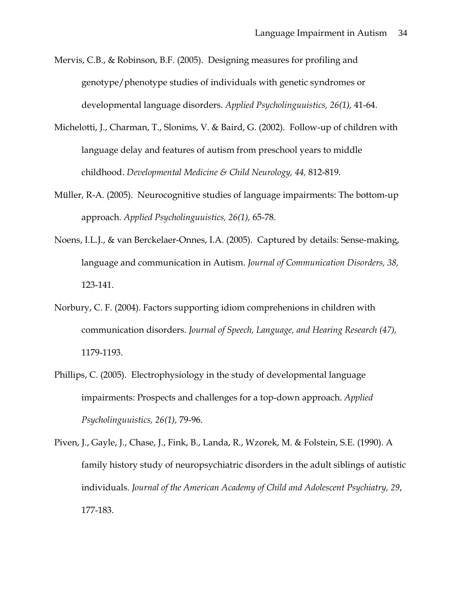- Mervis, C.B., & Robinson, B.F. (2005). Designing measures for profiling and genotype/phenotype studies of individuals with genetic syndromes or developmental language disorders. *Applied Psycholinguuistics, 26(1),* 41-64.
- Michelotti, J., Charman, T., Slonims, V. & Baird, G. (2002). Follow-up of children with language delay and features of autism from preschool years to middle childhood. *Developmental Medicine & Child Neurology, 44,* 812-819.
- Müller, R-A. (2005). Neurocognitive studies of language impairments: The bottom-up approach. *Applied Psycholinguuistics, 26(1),* 65-78.
- Noens, I.L.J., & van Berckelaer-Onnes, I.A. (2005). Captured by details: Sense-making, language and communication in Autism. *Journal of Communication Disorders, 38,* 123-141.
- Norbury, C. F. (2004). Factors supporting idiom comprehenions in children with communication disorders. *Journal of Speech, Language, and Hearing Research (47),* 1179-1193.
- Phillips, C. (2005). Electrophysiology in the study of developmental language impairments: Prospects and challenges for a top-down approach. *Applied Psycholinguuistics, 26(1),* 79-96.
- Piven, J., Gayle, J., Chase, J., Fink, B., Landa, R., Wzorek, M. & Folstein, S.E. (1990). A family history study of neuropsychiatric disorders in the adult siblings of autistic individuals. *Journal of the American Academy of Child and Adolescent Psychiatry, 29*, 177-183.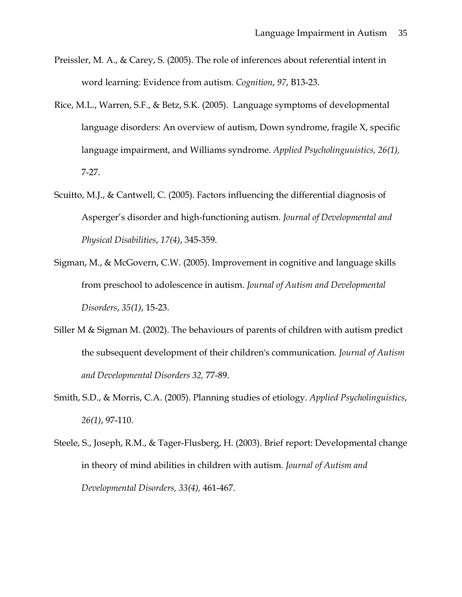- Preissler, M. A., & Carey, S. (2005). The role of inferences about referential intent in word learning: Evidence from autism. *Cognition*, *97*, B13-23.
- Rice, M.L., Warren, S.F., & Betz, S.K. (2005). Language symptoms of developmental language disorders: An overview of autism, Down syndrome, fragile X, specific language impairment, and Williams syndrome. *Applied Psycholinguuistics, 26(1),* 7-27.
- Scuitto, M.J., & Cantwell, C. (2005). Factors influencing the differential diagnosis of Asperger's disorder and high-functioning autism. *Journal of Developmental and Physical Disabilities*, *17(4)*, 345-359.
- Sigman, M., & McGovern, C.W. (2005). Improvement in cognitive and language skills from preschool to adolescence in autism. *Journal of Autism and Developmental Disorders*, *35(1)*, 15-23.
- Siller M & Sigman M. (2002). The behaviours of parents of children with autism predict the subsequent development of their children's communication*. Journal of Autism and Developmental Disorders 32,* 77-89.
- Smith, S.D., & Morris, C.A. (2005). Planning studies of etiology. *Applied Psycholinguistics*, *26(1)*, 97-110.
- Steele, S., Joseph, R.M., & Tager-Flusberg, H. (2003). Brief report: Developmental change in theory of mind abilities in children with autism*. Journal of Autism and Developmental Disorders, 33(4),* 461-467.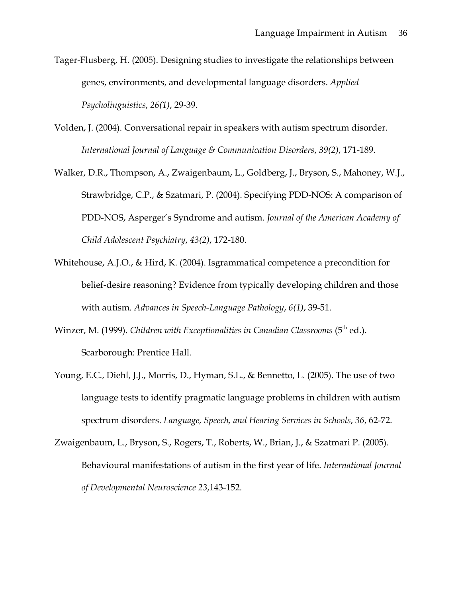- Tager-Flusberg, H. (2005). Designing studies to investigate the relationships between genes, environments, and developmental language disorders. *Applied Psycholinguistics*, *26(1)*, 29-39.
- Volden, J. (2004). Conversational repair in speakers with autism spectrum disorder. *International Journal of Language & Communication Disorders*, *39(2)*, 171-189.
- Walker, D.R., Thompson, A., Zwaigenbaum, L., Goldberg, J., Bryson, S., Mahoney, W.J., Strawbridge, C.P., & Szatmari, P. (2004). Specifying PDD-NOS: A comparison of PDD-NOS, Asperger's Syndrome and autism. *Journal of the American Academy of Child Adolescent Psychiatry*, *43(2)*, 172-180.
- Whitehouse, A.J.O., & Hird, K. (2004). Isgrammatical competence a precondition for belief-desire reasoning? Evidence from typically developing children and those with autism. *Advances in Speech-Language Pathology*, *6(1)*, 39-51.
- Winzer, M. (1999). *Children with Exceptionalities in Canadian Classrooms* (5<sup>th</sup> ed.). Scarborough: Prentice Hall.
- Young, E.C., Diehl, J.J., Morris, D., Hyman, S.L., & Bennetto, L. (2005). The use of two language tests to identify pragmatic language problems in children with autism spectrum disorders. *Language, Speech, and Hearing Services in Schools*, *36*, 62-72.
- Zwaigenbaum, L., Bryson, S., Rogers, T., Roberts, W., Brian, J., & Szatmari P. (2005). Behavioural manifestations of autism in the first year of life. *International Journal of Developmental Neuroscience 23*,143-152.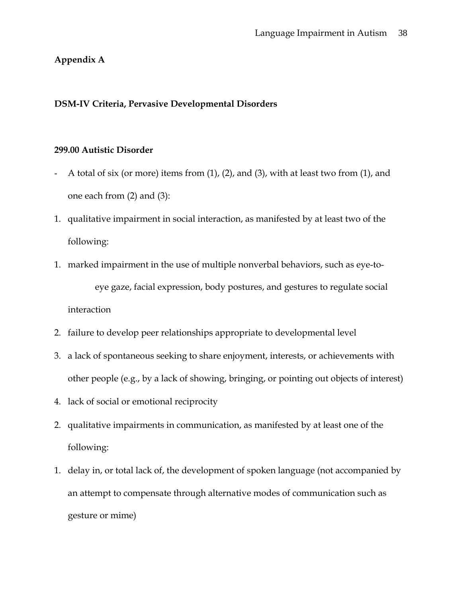# **Appendix A**

# **DSM-IV Criteria, Pervasive Developmental Disorders**

# **299.00 Autistic Disorder**

- A total of six (or more) items from (1), (2), and (3), with at least two from (1), and one each from (2) and (3):
- 1. qualitative impairment in social interaction, as manifested by at least two of the following:
- 1. marked impairment in the use of multiple nonverbal behaviors, such as eye-toeye gaze, facial expression, body postures, and gestures to regulate social interaction
- 2. failure to develop peer relationships appropriate to developmental level
- 3. a lack of spontaneous seeking to share enjoyment, interests, or achievements with other people (e.g., by a lack of showing, bringing, or pointing out objects of interest)
- 4. lack of social or emotional reciprocity
- 2. qualitative impairments in communication, as manifested by at least one of the following:
- 1. delay in, or total lack of, the development of spoken language (not accompanied by an attempt to compensate through alternative modes of communication such as gesture or mime)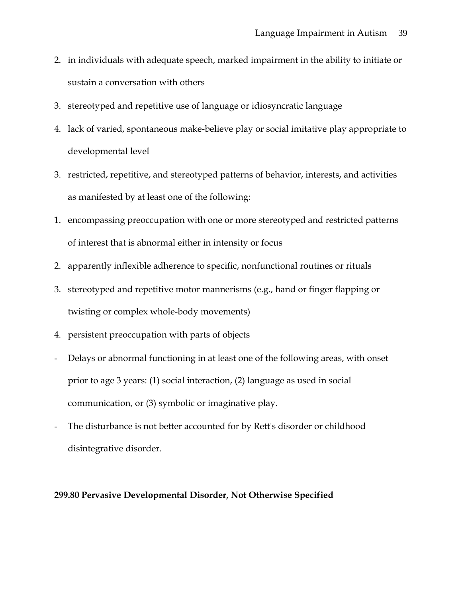- 2. in individuals with adequate speech, marked impairment in the ability to initiate or sustain a conversation with others
- 3. stereotyped and repetitive use of language or idiosyncratic language
- 4. lack of varied, spontaneous make-believe play or social imitative play appropriate to developmental level
- 3. restricted, repetitive, and stereotyped patterns of behavior, interests, and activities as manifested by at least one of the following:
- 1. encompassing preoccupation with one or more stereotyped and restricted patterns of interest that is abnormal either in intensity or focus
- 2. apparently inflexible adherence to specific, nonfunctional routines or rituals
- 3. stereotyped and repetitive motor mannerisms (e.g., hand or finger flapping or twisting or complex whole-body movements)
- 4. persistent preoccupation with parts of objects
- Delays or abnormal functioning in at least one of the following areas, with onset prior to age 3 years: (1) social interaction, (2) language as used in social communication, or (3) symbolic or imaginative play.
- The disturbance is not better accounted for by Rett's disorder or childhood disintegrative disorder.

### **299.80 Pervasive Developmental Disorder, Not Otherwise Specified**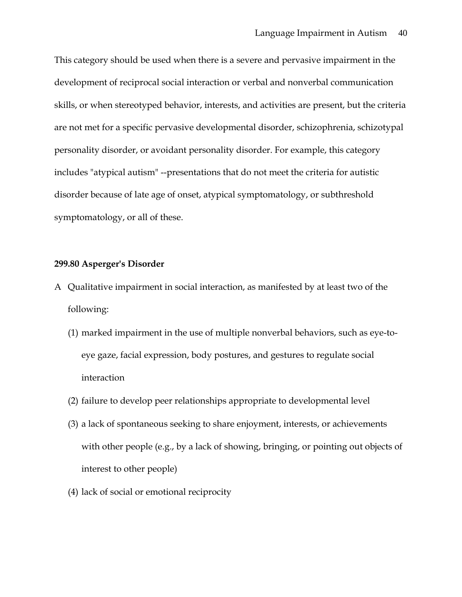This category should be used when there is a severe and pervasive impairment in the development of reciprocal social interaction or verbal and nonverbal communication skills, or when stereotyped behavior, interests, and activities are present, but the criteria are not met for a specific pervasive developmental disorder, schizophrenia, schizotypal personality disorder, or avoidant personality disorder. For example, this category includes "atypical autism" --presentations that do not meet the criteria for autistic disorder because of late age of onset, atypical symptomatology, or subthreshold symptomatology, or all of these.

#### **299.80 Asperger's Disorder**

- A Qualitative impairment in social interaction, as manifested by at least two of the following:
	- (1) marked impairment in the use of multiple nonverbal behaviors, such as eye-toeye gaze, facial expression, body postures, and gestures to regulate social interaction
	- (2) failure to develop peer relationships appropriate to developmental level
	- (3) a lack of spontaneous seeking to share enjoyment, interests, or achievements with other people (e.g., by a lack of showing, bringing, or pointing out objects of interest to other people)
	- (4) lack of social or emotional reciprocity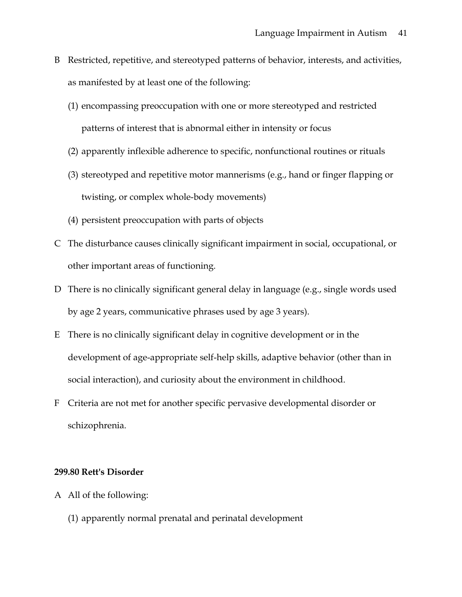- B Restricted, repetitive, and stereotyped patterns of behavior, interests, and activities, as manifested by at least one of the following:
	- (1) encompassing preoccupation with one or more stereotyped and restricted patterns of interest that is abnormal either in intensity or focus
	- (2) apparently inflexible adherence to specific, nonfunctional routines or rituals
	- (3) stereotyped and repetitive motor mannerisms (e.g., hand or finger flapping or twisting, or complex whole-body movements)
	- (4) persistent preoccupation with parts of objects
- C The disturbance causes clinically significant impairment in social, occupational, or other important areas of functioning.
- D There is no clinically significant general delay in language (e.g., single words used by age 2 years, communicative phrases used by age 3 years).
- E There is no clinically significant delay in cognitive development or in the development of age-appropriate self-help skills, adaptive behavior (other than in social interaction), and curiosity about the environment in childhood.
- F Criteria are not met for another specific pervasive developmental disorder or schizophrenia.

#### **299.80 Rett's Disorder**

- A All of the following:
	- (1) apparently normal prenatal and perinatal development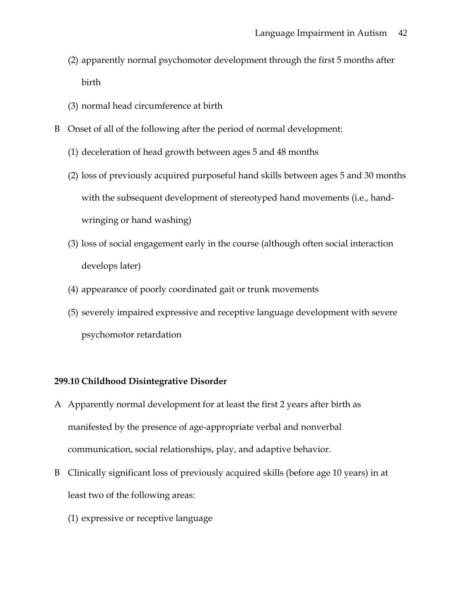- (2) apparently normal psychomotor development through the first 5 months after birth
- (3) normal head circumference at birth
- B Onset of all of the following after the period of normal development:
	- (1) deceleration of head growth between ages 5 and 48 months
	- (2) loss of previously acquired purposeful hand skills between ages 5 and 30 months with the subsequent development of stereotyped hand movements (i.e., handwringing or hand washing)
	- (3) loss of social engagement early in the course (although often social interaction develops later)
	- (4) appearance of poorly coordinated gait or trunk movements
	- (5) severely impaired expressive and receptive language development with severe psychomotor retardation

# **299.10 Childhood Disintegrative Disorder**

- A Apparently normal development for at least the first 2 years after birth as manifested by the presence of age-appropriate verbal and nonverbal communication, social relationships, play, and adaptive behavior.
- B Clinically significant loss of previously acquired skills (before age 10 years) in at least two of the following areas:
	- (1) expressive or receptive language